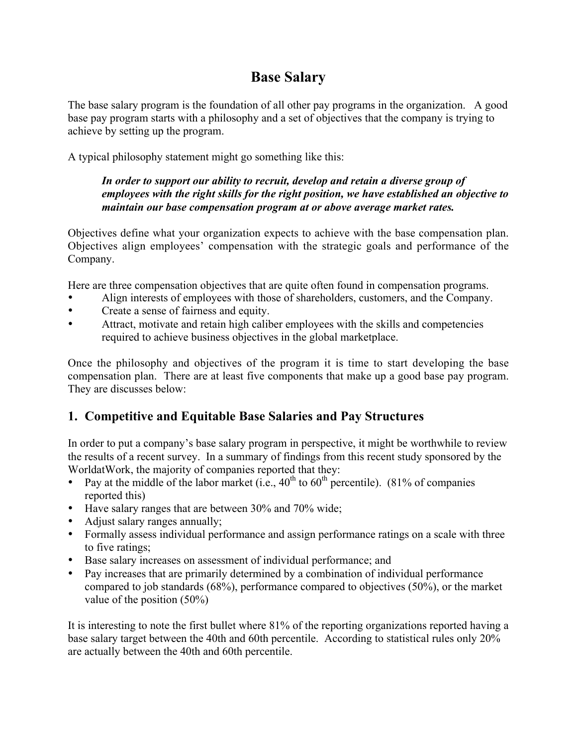# Base Salary

The base salary program is the foundation of all other pay programs in the organization. A good base pay program starts with a philosophy and a set of objectives that the company is trying to achieve by setting up the program.

A typical philosophy statement might go something like this:

#### *In order to support our ability to recruit, develop and retain a diverse group of employees with the right skills for the right position, we have established an objective to maintain our base compensation program at or above average market rates.*

Objectives define what your organization expects to achieve with the base compensation plan. Objectives align employees' compensation with the strategic goals and performance of the Company.

Here are three compensation objectives that are quite often found in compensation programs.

- Align interests of employees with those of shareholders, customers, and the Company.
- Create a sense of fairness and equity.
- Attract, motivate and retain high caliber employees with the skills and competencies required to achieve business objectives in the global marketplace.

Once the philosophy and objectives of the program it is time to start developing the base compensation plan. There are at least five components that make up a good base pay program. They are discusses below:

## 1. Competitive and Equitable Base Salaries and Pay Structures

In order to put a company's base salary program in perspective, it might be worthwhile to review the results of a recent survey. In a summary of findings from this recent study sponsored by the WorldatWork, the majority of companies reported that they:

- Pay at the middle of the labor market (i.e.,  $40^{th}$  to  $60^{th}$  percentile). (81% of companies reported this)
- Have salary ranges that are between 30% and 70% wide;
- Adjust salary ranges annually;
- Formally assess individual performance and assign performance ratings on a scale with three to five ratings;
- Base salary increases on assessment of individual performance; and
- Pay increases that are primarily determined by a combination of individual performance compared to job standards (68%), performance compared to objectives (50%), or the market value of the position (50%)

It is interesting to note the first bullet where 81% of the reporting organizations reported having a base salary target between the 40th and 60th percentile. According to statistical rules only 20% are actually between the 40th and 60th percentile.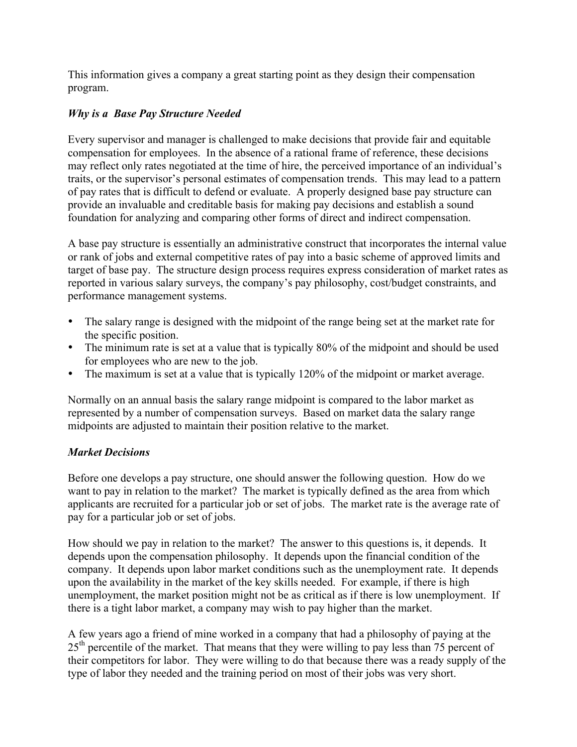This information gives a company a great starting point as they design their compensation program.

#### *Why is a Base Pay Structure Needed*

Every supervisor and manager is challenged to make decisions that provide fair and equitable compensation for employees. In the absence of a rational frame of reference, these decisions may reflect only rates negotiated at the time of hire, the perceived importance of an individual's traits, or the supervisor's personal estimates of compensation trends. This may lead to a pattern of pay rates that is difficult to defend or evaluate. A properly designed base pay structure can provide an invaluable and creditable basis for making pay decisions and establish a sound foundation for analyzing and comparing other forms of direct and indirect compensation.

A base pay structure is essentially an administrative construct that incorporates the internal value or rank of jobs and external competitive rates of pay into a basic scheme of approved limits and target of base pay. The structure design process requires express consideration of market rates as reported in various salary surveys, the company's pay philosophy, cost/budget constraints, and performance management systems.

- The salary range is designed with the midpoint of the range being set at the market rate for the specific position.
- The minimum rate is set at a value that is typically 80% of the midpoint and should be used for employees who are new to the job.
- The maximum is set at a value that is typically 120% of the midpoint or market average.

Normally on an annual basis the salary range midpoint is compared to the labor market as represented by a number of compensation surveys. Based on market data the salary range midpoints are adjusted to maintain their position relative to the market.

#### *Market Decisions*

Before one develops a pay structure, one should answer the following question. How do we want to pay in relation to the market? The market is typically defined as the area from which applicants are recruited for a particular job or set of jobs. The market rate is the average rate of pay for a particular job or set of jobs.

How should we pay in relation to the market? The answer to this questions is, it depends. It depends upon the compensation philosophy. It depends upon the financial condition of the company. It depends upon labor market conditions such as the unemployment rate. It depends upon the availability in the market of the key skills needed. For example, if there is high unemployment, the market position might not be as critical as if there is low unemployment. If there is a tight labor market, a company may wish to pay higher than the market.

A few years ago a friend of mine worked in a company that had a philosophy of paying at the  $25<sup>th</sup>$  percentile of the market. That means that they were willing to pay less than 75 percent of their competitors for labor. They were willing to do that because there was a ready supply of the type of labor they needed and the training period on most of their jobs was very short.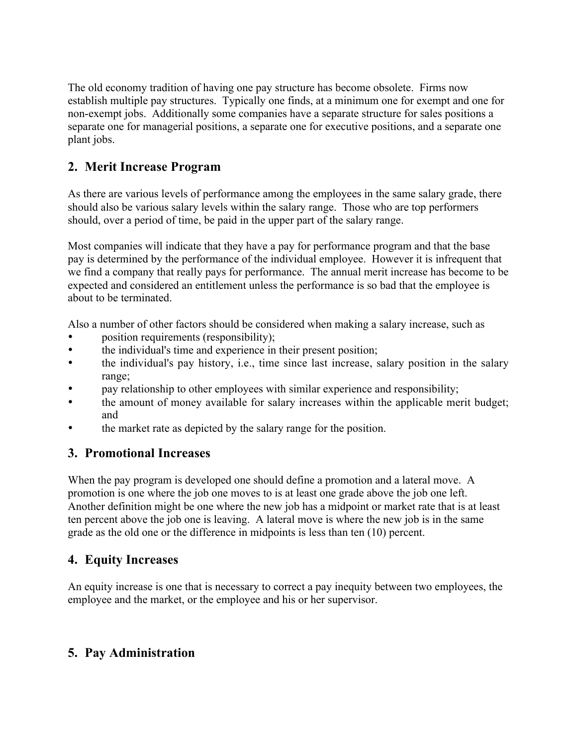The old economy tradition of having one pay structure has become obsolete. Firms now establish multiple pay structures. Typically one finds, at a minimum one for exempt and one for non-exempt jobs. Additionally some companies have a separate structure for sales positions a separate one for managerial positions, a separate one for executive positions, and a separate one plant jobs.

## 2. Merit Increase Program

As there are various levels of performance among the employees in the same salary grade, there should also be various salary levels within the salary range. Those who are top performers should, over a period of time, be paid in the upper part of the salary range.

Most companies will indicate that they have a pay for performance program and that the base pay is determined by the performance of the individual employee. However it is infrequent that we find a company that really pays for performance. The annual merit increase has become to be expected and considered an entitlement unless the performance is so bad that the employee is about to be terminated.

Also a number of other factors should be considered when making a salary increase, such as

- position requirements (responsibility);
- the individual's time and experience in their present position;
- the individual's pay history, i.e., time since last increase, salary position in the salary range;
- pay relationship to other employees with similar experience and responsibility;
- the amount of money available for salary increases within the applicable merit budget; and
- the market rate as depicted by the salary range for the position.

#### 3. Promotional Increases

When the pay program is developed one should define a promotion and a lateral move. A promotion is one where the job one moves to is at least one grade above the job one left. Another definition might be one where the new job has a midpoint or market rate that is at least ten percent above the job one is leaving. A lateral move is where the new job is in the same grade as the old one or the difference in midpoints is less than ten (10) percent.

## 4. Equity Increases

An equity increase is one that is necessary to correct a pay inequity between two employees, the employee and the market, or the employee and his or her supervisor.

## 5. Pay Administration